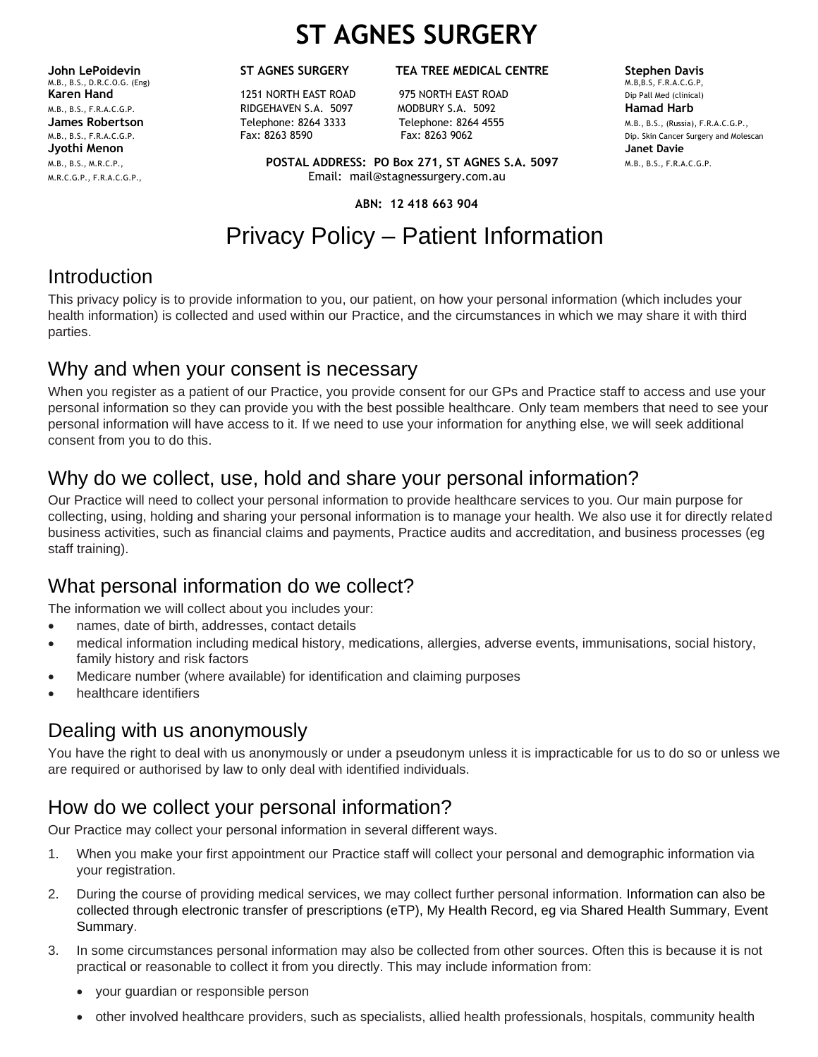# **ST AGNES SURGERY**

**John LePoidevin ST AGNES SURGERY TEA TREE MEDICAL CENTRE Stephen Davis**<br>M.B. B.S. D.R.C.O.G. (Eng) **Stephen Davis** M.B., B.S., D.R.C.O.G. (Eng) **Jyothi Menon Janet Davie**

**Karen Hand** 1251 NORTH EAST ROAD 975 NORTH EAST ROAD Dip Pall Med (clinical) M.B., B.S., F.R.A.C.G.P. RIDGEHAVEN S.A. 5097 MODBURY S.A. 5092 **Hamad Harb**

M.B., B.S., M.R.C.P., **POSTAL ADDRESS: PO Box 271, ST AGNES S.A. 5097** M.B., B.S., F.R.A.C.G.P. M.R.C.G.P., F.R.A.C.G.P., Email: mail@stagnessurgery.com.au

**ABN: 12 418 663 904**

## Privacy Policy – Patient Information

#### Introduction

This privacy policy is to provide information to you, our patient, on how your personal information (which includes your health information) is collected and used within our Practice, and the circumstances in which we may share it with third parties.

#### Why and when your consent is necessary

When you register as a patient of our Practice, you provide consent for our GPs and Practice staff to access and use your personal information so they can provide you with the best possible healthcare. Only team members that need to see your personal information will have access to it. If we need to use your information for anything else, we will seek additional consent from you to do this.

### Why do we collect, use, hold and share your personal information?

Our Practice will need to collect your personal information to provide healthcare services to you. Our main purpose for collecting, using, holding and sharing your personal information is to manage your health. We also use it for directly related business activities, such as financial claims and payments, Practice audits and accreditation, and business processes (eg staff training).

#### What personal information do we collect?

The information we will collect about you includes your:

- names, date of birth, addresses, contact details
- medical information including medical history, medications, allergies, adverse events, immunisations, social history, family history and risk factors
- Medicare number (where available) for identification and claiming purposes
- healthcare identifiers

#### Dealing with us anonymously

You have the right to deal with us anonymously or under a pseudonym unless it is impracticable for us to do so or unless we are required or authorised by law to only deal with identified individuals.

#### How do we collect your personal information?

Our Practice may collect your personal information in several different ways.

- 1. When you make your first appointment our Practice staff will collect your personal and demographic information via your registration.
- 2. During the course of providing medical services, we may collect further personal information. Information can also be collected through electronic transfer of prescriptions (eTP), My Health Record, eg via Shared Health Summary, Event Summary.
- 3. In some circumstances personal information may also be collected from other sources. Often this is because it is not practical or reasonable to collect it from you directly. This may include information from:
	- your guardian or responsible person
	- other involved healthcare providers, such as specialists, allied health professionals, hospitals, community health

**James Robertson** Telephone: 8264 3333 Telephone: 8264 4555 M.B., B.S., (Russia), F.R.A.C.G.P., M.B., B.S., F.R.A.C.G.P. FAX: 8263 8590 Fax: 8263 9062 Fax: 8263 9062 Dip. Skin Cancer Surgery and Molescan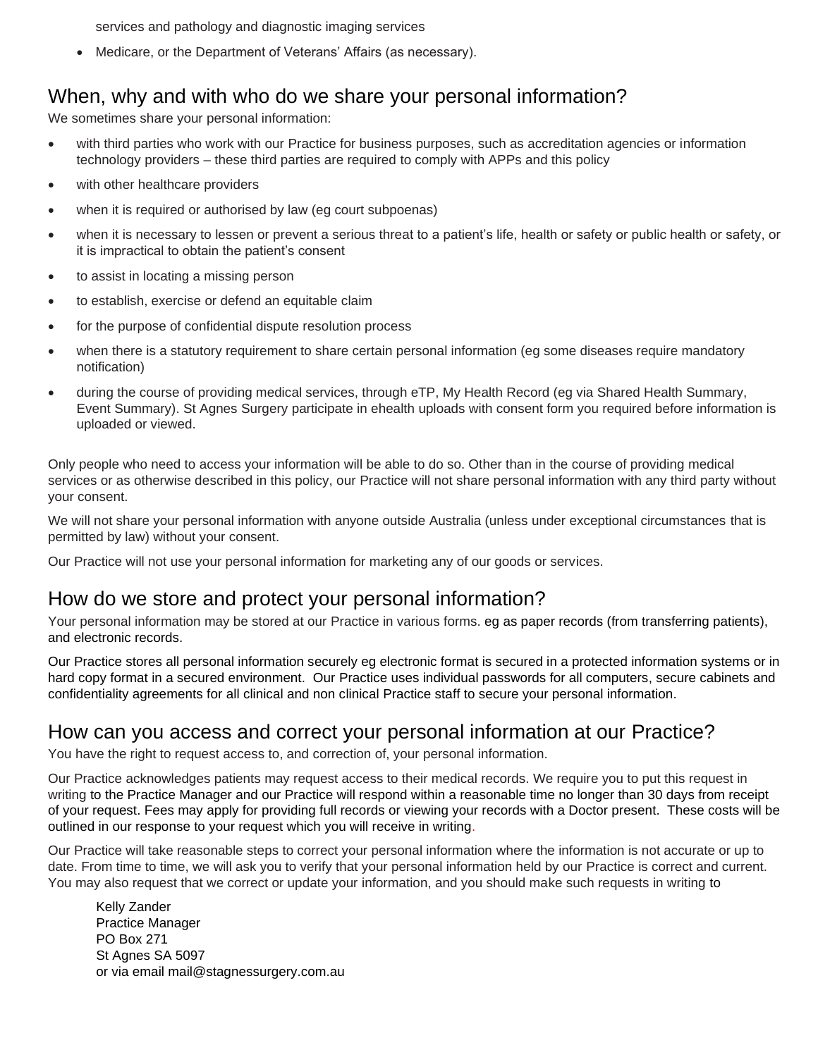services and pathology and diagnostic imaging services

• Medicare, or the Department of Veterans' Affairs (as necessary).

#### When, why and with who do we share your personal information?

We sometimes share your personal information:

- with third parties who work with our Practice for business purposes, such as accreditation agencies or information technology providers – these third parties are required to comply with APPs and this policy
- with other healthcare providers
- when it is required or authorised by law (eq court subpoenas)
- when it is necessary to lessen or prevent a serious threat to a patient's life, health or safety or public health or safety, or it is impractical to obtain the patient's consent
- to assist in locating a missing person
- to establish, exercise or defend an equitable claim
- for the purpose of confidential dispute resolution process
- when there is a statutory requirement to share certain personal information (eg some diseases require mandatory notification)
- during the course of providing medical services, through eTP, My Health Record (eg via Shared Health Summary, Event Summary). St Agnes Surgery participate in ehealth uploads with consent form you required before information is uploaded or viewed.

Only people who need to access your information will be able to do so. Other than in the course of providing medical services or as otherwise described in this policy, our Practice will not share personal information with any third party without your consent.

We will not share your personal information with anyone outside Australia (unless under exceptional circumstances that is permitted by law) without your consent.

Our Practice will not use your personal information for marketing any of our goods or services.

#### How do we store and protect your personal information?

Your personal information may be stored at our Practice in various forms. eg as paper records (from transferring patients), and electronic records.

Our Practice stores all personal information securely eg electronic format is secured in a protected information systems or in hard copy format in a secured environment. Our Practice uses individual passwords for all computers, secure cabinets and confidentiality agreements for all clinical and non clinical Practice staff to secure your personal information.

#### How can you access and correct your personal information at our Practice?

You have the right to request access to, and correction of, your personal information.

Our Practice acknowledges patients may request access to their medical records. We require you to put this request in writing to the Practice Manager and our Practice will respond within a reasonable time no longer than 30 days from receipt of your request. Fees may apply for providing full records or viewing your records with a Doctor present. These costs will be outlined in our response to your request which you will receive in writing.

Our Practice will take reasonable steps to correct your personal information where the information is not accurate or up to date. From time to time, we will ask you to verify that your personal information held by our Practice is correct and current. You may also request that we correct or update your information, and you should make such requests in writing to

Kelly Zander Practice Manager PO Box 271 St Agnes SA 5097 or via email mail@stagnessurgery.com.au